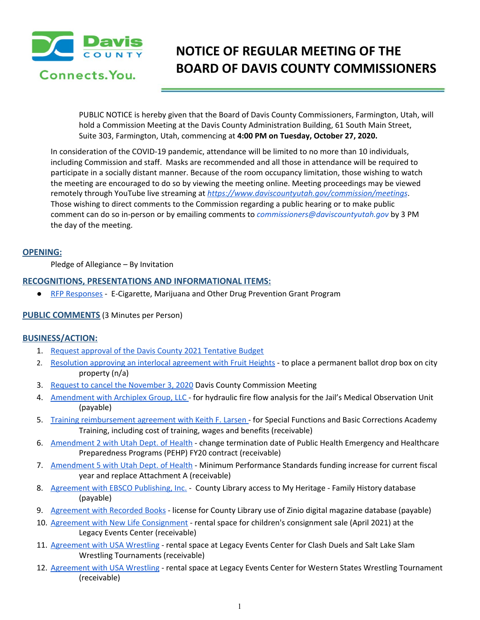

# **NOTICE OF REGULAR MEETING OF THE BOARD OF DAVIS COUNTY COMMISSIONERS**

PUBLIC NOTICE is hereby given that the Board of Davis County Commissioners, Farmington, Utah, will hold a Commission Meeting at the Davis County Administration Building, 61 South Main Street, Suite 303, Farmington, Utah, commencing at **4:00 PM on Tuesday, October 27, 2020.**

In consideration of the COVID-19 pandemic, attendance will be limited to no more than 10 individuals, including Commission and staff. Masks are recommended and all those in attendance will be required to participate in a socially distant manner. Because of the room occupancy limitation, those wishing to watch the meeting are encouraged to do so by viewing the meeting online. Meeting proceedings may be viewed remotely through YouTube live streaming at *<https://www.daviscountyutah.gov/commission/meetings>*. Those wishing to direct comments to the Commission regarding a public hearing or to make public comment can do so in-person or by emailing comments to *commissioners@daviscountyutah.gov* by 3 PM the day of the meeting.

## **OPENING:**

Pledge of Allegiance – By Invitation

## **RECOGNITIONS, PRESENTATIONS AND INFORMATIONAL ITEMS:**

● RFP [Responses](https://drive.google.com/file/d/1EAAWCM5rvpVMXStjEk6GJ4Kfq8I8Tscv/view?usp=drivesdk) - E-Cigarette, Marijuana and Other Drug Prevention Grant Program

## **PUBLIC COMMENTS** (3 Minutes per Person)

## **BUSINESS/ACTION:**

- 1. Request approval of the Davis County 2021 [Tentative](https://drive.google.com/file/d/1Y-yND5NSDQIhxgCmd_awl2T-CYxMEEjn/view?usp=drivesdk) Budget
- 2. Resolution approving an interlocal [agreement](https://drive.google.com/file/d/11-WfijJjpwODSUiCHYUN7M1vw5lJmWT5/view?usp=drivesdk) with Fruit Heights to place a permanent ballot drop box on city property (n/a)
- 3. Request to cancel the [November](https://drive.google.com/file/d/1iYvvSOjcKzQW-IN0A1GdZbfgkhBS-tpQ/view?usp=drivesdk) 3, 2020 Davis County Commission Meeting
- 4. [Amendment](https://drive.google.com/file/d/1IQBxB2o8oxPyohcBzqhkFdrIP0M1CAIi/view?usp=drivesdk) with Archiplex Group, LLC for hydraulic fire flow analysis for the Jail's Medical Observation Unit (payable)
- 5. Training [reimbursement](https://drive.google.com/file/d/1I8xAwqAlSduGj-EUr8U1ie1HFv9vVepa/view?usp=drivesdk) agreement with Keith F. Larsen for Special Functions and Basic Corrections Academy Training, including cost of training, wages and benefits (receivable)
- 6. [Amendment](https://drive.google.com/file/d/1QU10Ic6JmXzO4yCfUkdcLlc-ts1ZSxVx/view?usp=drivesdk) 2 with Utah Dept. of Health change termination date of Public Health Emergency and Healthcare Preparedness Programs (PEHP) FY20 contract (receivable)
- 7. [Amendment](https://drive.google.com/file/d/12vcw7xkB2fAZ-TJtAcL5g-Gtb4n-BCyO/view?usp=drivesdk) 5 with Utah Dept. of Health Minimum Performance Standards funding increase for current fiscal year and replace Attachment A (receivable)
- 8. [Agreement](https://drive.google.com/file/d/1D6cejCWBhkT3M6wD7iF6ot0Bbmkfih5K/view?usp=drivesdk) with EBSCO Publishing, Inc. County Library access to My Heritage Family History database (payable)
- 9. [Agreement](https://drive.google.com/file/d/1cbUUntL0fWITYY3qjGb0JLkrKtE_o0We/view?usp=drivesdk) with Recorded Books license for County Library use of Zinio digital magazine database (payable)
- 10. Agreement with New Life [Consignment](https://drive.google.com/file/d/1OgWtqFYKrEqMO_gXbLHmjDjQznmffBFW/view?usp=drivesdk) rental space for children's consignment sale (April 2021) at the Legacy Events Center (receivable)
- 11. [Agreement](https://drive.google.com/file/d/17ODXYgHjBTbD4Q56a4KMzYoyVs_e0QQ1/view?usp=drivesdk) with USA Wrestling rental space at Legacy Events Center for Clash Duels and Salt Lake Slam Wrestling Tournaments (receivable)
- 12. [Agreement](https://drive.google.com/file/d/15ItEHkwl3-3o68XhGyE_AZW0-xNLQ25e/view?usp=drivesdk) with USA Wrestling rental space at Legacy Events Center for Western States Wrestling Tournament (receivable)